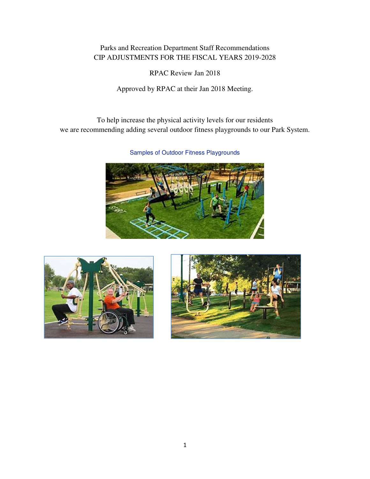#### Parks and Recreation Department Staff Recommendations CIP ADJUSTMENTS FOR THE FISCAL YEARS 2019-2028

RPAC Review Jan 2018

Approved by RPAC at their Jan 2018 Meeting.

To help increase the physical activity levels for our residents we are recommending adding several outdoor fitness playgrounds to our Park System.

Samples of Outdoor Fitness Playgrounds





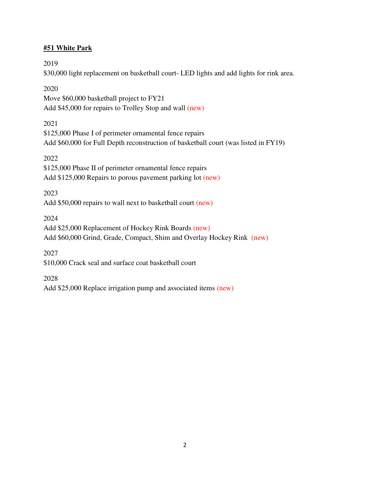#### **#51 White Park**

2019

\$30,000 light replacement on basketball court- LED lights and add lights for rink area.

2020

Move \$60,000 basketball project to FY21 Add \$45,000 for repairs to Trolley Stop and wall (new)

2021

\$125,000 Phase I of perimeter ornamental fence repairs Add \$60,000 for Full Depth reconstruction of basketball court (was listed in FY19)

2022

\$125,000 Phase II of perimeter ornamental fence repairs Add \$125,000 Repairs to porous pavement parking lot (new)

2023

Add \$50,000 repairs to wall next to basketball court (new)

2024

Add \$25,000 Replacement of Hockey Rink Boards (new) Add \$60,000 Grind, Grade, Compact, Shim and Overlay Hockey Rink (new)

2027

\$10,000 Crack seal and surface coat basketball court

2028

Add \$25,000 Replace irrigation pump and associated items (new)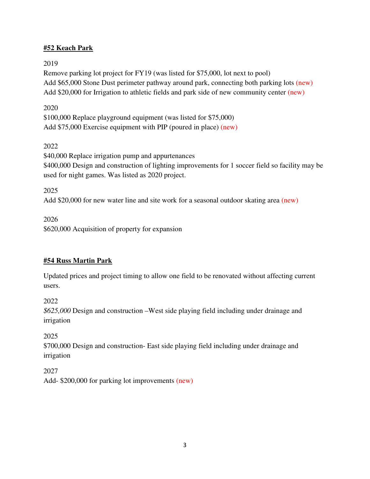## **#52 Keach Park**

## 2019

Remove parking lot project for FY19 (was listed for \$75,000, lot next to pool) Add \$65,000 Stone Dust perimeter pathway around park, connecting both parking lots (new) Add \$20,000 for Irrigation to athletic fields and park side of new community center (new)

## 2020

\$100,000 Replace playground equipment (was listed for \$75,000) Add \$75,000 Exercise equipment with PIP (poured in place) (new)

## 2022

\$40,000 Replace irrigation pump and appurtenances \$400,000 Design and construction of lighting improvements for 1 soccer field so facility may be used for night games. Was listed as 2020 project.

## 2025

Add \$20,000 for new water line and site work for a seasonal outdoor skating area (new)

## 2026

\$620,000 Acquisition of property for expansion

# **#54 Russ Martin Park**

Updated prices and project timing to allow one field to be renovated without affecting current users.

2022

*\$625,000* Design and construction –West side playing field including under drainage and irrigation

## 2025

\$700,000 Design and construction- East side playing field including under drainage and irrigation

2027 Add- \$200,000 for parking lot improvements (new)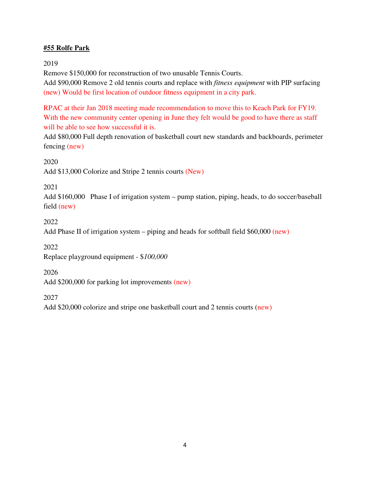## **#55 Rolfe Park**

2019

Remove \$150,000 for reconstruction of two unusable Tennis Courts. Add \$90,000 Remove 2 old tennis courts and replace with *fitness equipment* with PIP surfacing (new) Would be first location of outdoor fitness equipment in a city park.

RPAC at their Jan 2018 meeting made recommendation to move this to Keach Park for FY19. With the new community center opening in June they felt would be good to have there as staff will be able to see how successful it is.

Add \$80,000 Full depth renovation of basketball court new standards and backboards, perimeter fencing (new)

2020

Add \$13,000 Colorize and Stripe 2 tennis courts (New)

2021

Add \$160,000 Phase I of irrigation system – pump station, piping, heads, to do soccer/baseball field (new)

2022

Add Phase II of irrigation system – piping and heads for softball field \$60,000 (new)

2022

Replace playground equipment - \$*100,000* 

2026

Add \$200,000 for parking lot improvements (new)

2027

Add \$20,000 colorize and stripe one basketball court and 2 tennis courts (new)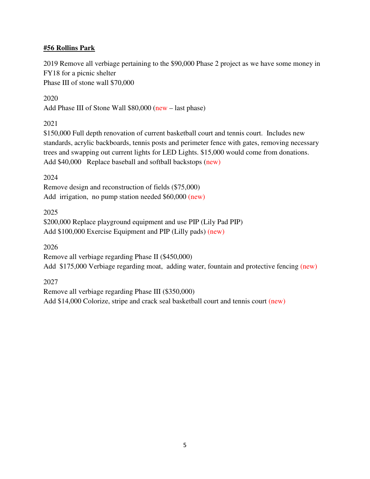#### **#56 Rollins Park**

2019 Remove all verbiage pertaining to the \$90,000 Phase 2 project as we have some money in FY18 for a picnic shelter Phase III of stone wall \$70,000

2020

Add Phase III of Stone Wall \$80,000 (new – last phase)

2021

\$150,000 Full depth renovation of current basketball court and tennis court. Includes new standards, acrylic backboards, tennis posts and perimeter fence with gates, removing necessary trees and swapping out current lights for LED Lights. \$15,000 would come from donations. Add \$40,000 Replace baseball and softball backstops (new)

2024

Remove design and reconstruction of fields (\$75,000) Add irrigation, no pump station needed \$60,000 (new)

2025

\$200,000 Replace playground equipment and use PIP (Lily Pad PIP) Add \$100,000 Exercise Equipment and PIP (Lilly pads) (new)

2026

Remove all verbiage regarding Phase II (\$450,000)

Add \$175,000 Verbiage regarding moat, adding water, fountain and protective fencing (new)

2027

Remove all verbiage regarding Phase III (\$350,000) Add \$14,000 Colorize, stripe and crack seal basketball court and tennis court (new)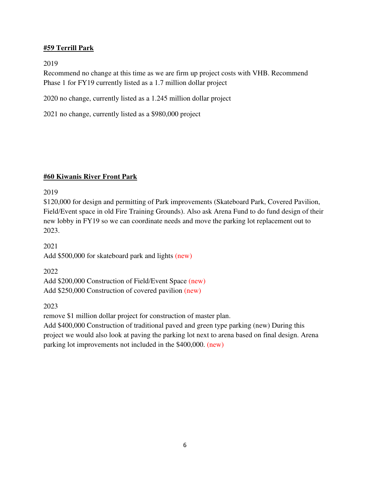#### **#59 Terrill Park**

2019

Recommend no change at this time as we are firm up project costs with VHB. Recommend Phase 1 for FY19 currently listed as a 1.7 million dollar project

2020 no change, currently listed as a 1.245 million dollar project

2021 no change, currently listed as a \$980,000 project

#### **#60 Kiwanis River Front Park**

2019

\$120,000 for design and permitting of Park improvements (Skateboard Park, Covered Pavilion, Field/Event space in old Fire Training Grounds). Also ask Arena Fund to do fund design of their new lobby in FY19 so we can coordinate needs and move the parking lot replacement out to 2023.

2021 Add \$500,000 for skateboard park and lights (new)

2022 Add \$200,000 Construction of Field/Event Space (new) Add \$250,000 Construction of covered pavilion (new)

2023

remove \$1 million dollar project for construction of master plan.

Add \$400,000 Construction of traditional paved and green type parking (new) During this project we would also look at paving the parking lot next to arena based on final design. Arena parking lot improvements not included in the \$400,000. (new)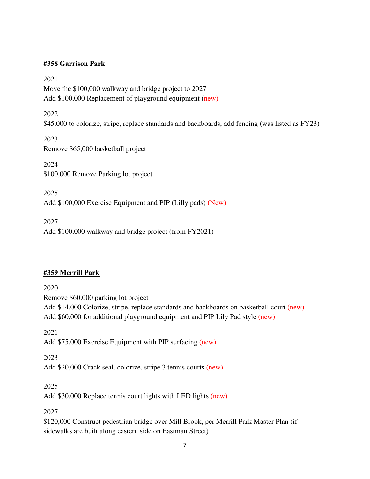#### **#358 Garrison Park**

2021 Move the \$100,000 walkway and bridge project to 2027 Add \$100,000 Replacement of playground equipment (new)

2022 \$45,000 to colorize, stripe, replace standards and backboards, add fencing (was listed as FY23)

2023 Remove \$65,000 basketball project

2024 \$100,000 Remove Parking lot project

2025 Add \$100,000 Exercise Equipment and PIP (Lilly pads) (New)

2027 Add \$100,000 walkway and bridge project (from FY2021)

## **#359 Merrill Park**

2020 Remove \$60,000 parking lot project Add \$14,000 Colorize, stripe, replace standards and backboards on basketball court (new) Add \$60,000 for additional playground equipment and PIP Lily Pad style (new)

2021 Add \$75,000 Exercise Equipment with PIP surfacing (new)

2023 Add \$20,000 Crack seal, colorize, stripe 3 tennis courts (new)

2025

Add \$30,000 Replace tennis court lights with LED lights (new)

2027

\$120,000 Construct pedestrian bridge over Mill Brook, per Merrill Park Master Plan (if sidewalks are built along eastern side on Eastman Street)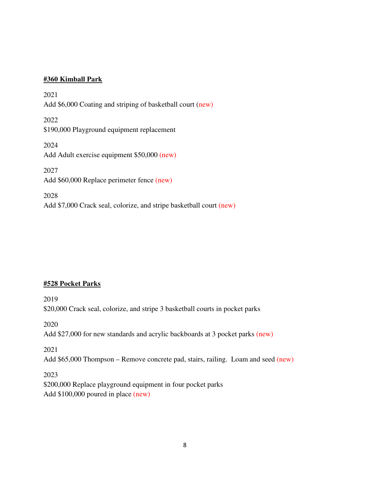#### **#360 Kimball Park**

2021 Add \$6,000 Coating and striping of basketball court (new) 2022 \$190,000 Playground equipment replacement 2024 Add Adult exercise equipment \$50,000 (new) 2027 Add \$60,000 Replace perimeter fence (new) 2028 Add \$7,000 Crack seal, colorize, and stripe basketball court (new)

#### **#528 Pocket Parks**

2019 \$20,000 Crack seal, colorize, and stripe 3 basketball courts in pocket parks

2020

Add \$27,000 for new standards and acrylic backboards at 3 pocket parks (new)

2021

Add \$65,000 Thompson – Remove concrete pad, stairs, railing. Loam and seed (new)

2023 \$200,000 Replace playground equipment in four pocket parks Add \$100,000 poured in place (new)